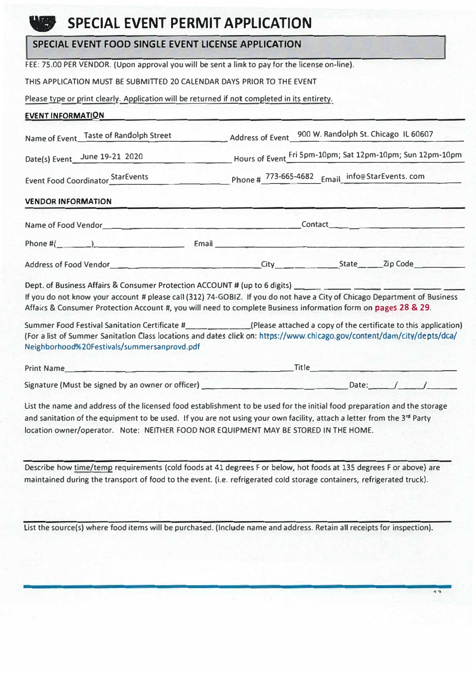## **SPECIAL EVENT PERMIT APPLICATION**

## **SPECIAL EVENT FOOD SINGLE EVENT LICENSE APPLICATION**

**FEE: 75.00 PER VENDOR. (Upon approval you will be sent a lirnk to pay for the license on-line).** 

**THIS APPLICATION MUST BE SUBMITTED 20 CALENDAR DAYS PRIOR TO THE EVENT** 

**Please type or print clearly. Application will be returned if not completed in its entirety.** 

## **EVENT INFORMATION**

|                                             | Name of Event Taste of Randolph Street Address of Event 900 W. Randolph St. Chicago IL 60607                                                                                                                                                                                                                                                                                                                                                                                                                                                                                                                            |  |  |  |  |  |
|---------------------------------------------|-------------------------------------------------------------------------------------------------------------------------------------------------------------------------------------------------------------------------------------------------------------------------------------------------------------------------------------------------------------------------------------------------------------------------------------------------------------------------------------------------------------------------------------------------------------------------------------------------------------------------|--|--|--|--|--|
|                                             | Date(s) Event_June 19-21 2020_________________________Hours of Event_Fri 5pm-10pm; Sat 12pm-10pm; Sun 12pm-10pm                                                                                                                                                                                                                                                                                                                                                                                                                                                                                                         |  |  |  |  |  |
|                                             | Event Food Coordinator StarEvents Phone # 773-665-4682 Email_info@StarEvents.com                                                                                                                                                                                                                                                                                                                                                                                                                                                                                                                                        |  |  |  |  |  |
| <b>VENDOR INFORMATION</b>                   |                                                                                                                                                                                                                                                                                                                                                                                                                                                                                                                                                                                                                         |  |  |  |  |  |
|                                             |                                                                                                                                                                                                                                                                                                                                                                                                                                                                                                                                                                                                                         |  |  |  |  |  |
|                                             |                                                                                                                                                                                                                                                                                                                                                                                                                                                                                                                                                                                                                         |  |  |  |  |  |
|                                             | Address of Food Vendor<br><u>City</u> City City City Code City Code City Code City Code City Code City Code City Code City Code City Code City Code City Code City Code City Code City Code City Code City Code City Code City Code C                                                                                                                                                                                                                                                                                                                                                                                   |  |  |  |  |  |
|                                             | Dept. of Business Affairs & Consumer Protection ACCOUNT # (up to 6 digits) ___________________________________<br>If you do not know your account # please call (312) 74-GOBIZ. If you do not have a City of Chicago Department of Business<br>Affairs & Consumer Protection Account #, you will need to complete Business information form on pages 28 & 29.<br>Summer Food Festival Sanitation Certificate #______________(Please attached a copy of the certificate to this application)<br>(For a list of Summer Sanitation Class locations and dates click on: https://www.chicago.gov/content/dam/city/depts/dca/ |  |  |  |  |  |
| Neighborhood%20Festivals/summersanprovd.pdf | Print Name Title Title                                                                                                                                                                                                                                                                                                                                                                                                                                                                                                                                                                                                  |  |  |  |  |  |
|                                             | Signature (Must be signed by an owner or officer)<br><u> Late: [1]</u>                                                                                                                                                                                                                                                                                                                                                                                                                                                                                                                                                  |  |  |  |  |  |

**List the name and address of the licensed food establishment to be used for the initial food preparation and the storage**  and sanitation of the equipment to be used. If you are not using your own facility, attach a letter from the 3<sup>rd</sup> Party **location owner/operator. Note: NEITHER FOOD NOR EQUIPMENT MAY BE STORED IN THE HOME.** 

**Describe how time/temp requirements (cold foods at 41 degrees For below, hot foods at 135 degrees F or above) are maintained during the transport of food to the event. (i.e. refrigerated cold storage containers, refrigerated truck).** 

**list the source(s) where food items will be purchased. (Include name and address. Retain all receipts for inspection).**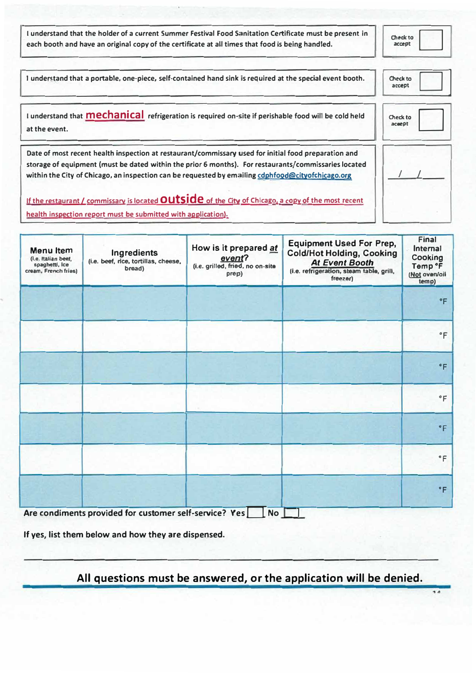**I understand that the holder of a current Summer Festival Food Sanitation Certificate must be present in**  each booth and have an original copy of the certificate at all times that food is being handled.

**O,eckto acupt**  □

14

| I understand that a portable, one-piece, self-contained hand sink is required at the special event booth.                                                                                                                                                                                                         | Check to<br>accept |
|-------------------------------------------------------------------------------------------------------------------------------------------------------------------------------------------------------------------------------------------------------------------------------------------------------------------|--------------------|
| I understand that <b>Mechanical</b> refrigeration is required on-site if perishable food will be cold held<br>at the event.                                                                                                                                                                                       | Check to<br>acaept |
| Date of most recent health inspection at restaurant/commissary used for initial food preparation and<br>storage of equipment (must be dated within the prior 6 months). For restaurants/commissaries located<br>within the City of Chicago, an inspection can be requested by emailing cdphfood@cityofchicago.org |                    |
| If the restaurant / commissary is located OUtside of the City of Chicago, a copy of the most recent<br>health inspection report must be submitted with application).                                                                                                                                              |                    |

| Menu Item<br>(i.e. Italian beef,<br>spaghetti, ice<br>cream, French fries) | <b>Ingredients</b><br>(i.e. beef, rice, tortillas, cheese,<br>bread) | How is it prepared at<br>event?<br>(i.e. grilled, fried, no on-site<br>prep) | <b>Equipment Used For Prep,</b><br><b>Cold/Hot Holding, Cooking</b><br><b>At Event Booth</b><br>(i.e. refrigeration, steam table, grill,<br>freezer) | Final<br>Internal<br>Cooking<br>Temp °F<br>(Not oven/oil<br>temp) |
|----------------------------------------------------------------------------|----------------------------------------------------------------------|------------------------------------------------------------------------------|------------------------------------------------------------------------------------------------------------------------------------------------------|-------------------------------------------------------------------|
|                                                                            |                                                                      |                                                                              |                                                                                                                                                      | $\degree$ F                                                       |
|                                                                            |                                                                      |                                                                              |                                                                                                                                                      | $\degree$ F                                                       |
|                                                                            |                                                                      |                                                                              |                                                                                                                                                      | $\degree$ F                                                       |
|                                                                            |                                                                      |                                                                              |                                                                                                                                                      | $\circ$ F                                                         |
|                                                                            |                                                                      |                                                                              |                                                                                                                                                      | $\degree$ F                                                       |
|                                                                            |                                                                      |                                                                              |                                                                                                                                                      | $\,^{\circ}$ F                                                    |
| $\bullet$                                                                  | $\cdots$                                                             | $\overline{\phantom{a}}$<br>$\bullet$<br>$\sim$ $\sim$ $\sim$                |                                                                                                                                                      | $\degree$ F                                                       |

**Are condiments provided for customer self-service? Yes <b>LI** No **LI** 

**If yes, list them below and how they are dispensed.** 

**All questions must be answered, or the application will be denied.**